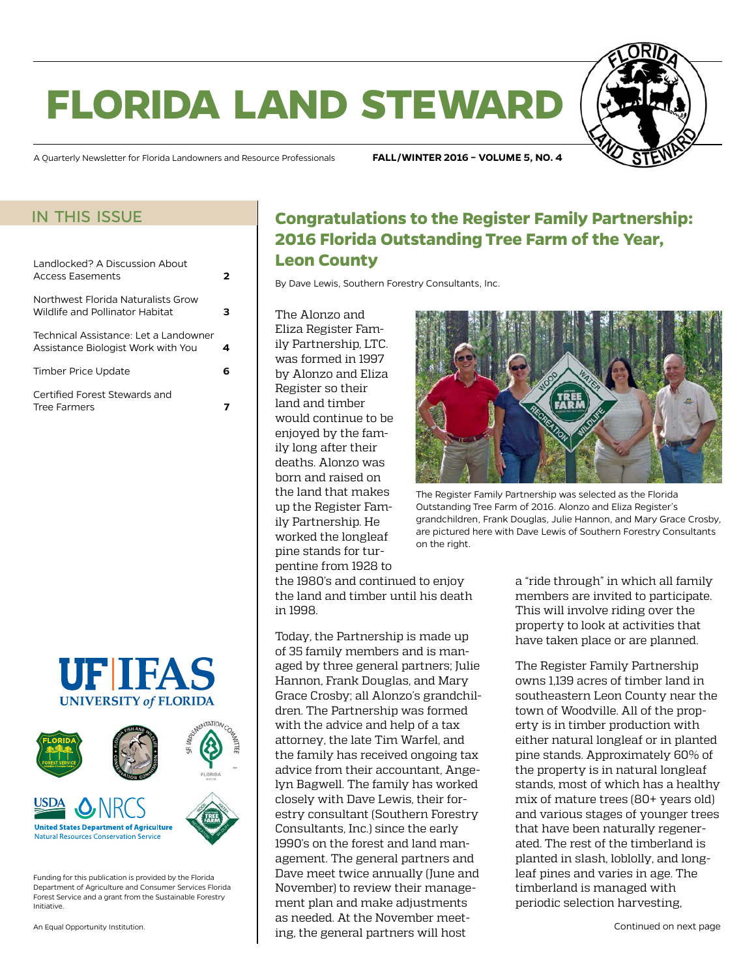# **florida land steward**



A Quarterly Newsletter for Florida Landowners and Resource Professionals **FALL/WINTER 2016 – VOLUME 5, NO. 4**

### in this issue

| Landlocked? A Discussion About<br>Access Fasements                          | 2 |
|-----------------------------------------------------------------------------|---|
| Northwest Florida Naturalists Grow<br>Wildlife and Pollinator Habitat       |   |
| Technical Assistance: Let a Landowner<br>Assistance Biologist Work with You |   |
| Timber Price Update                                                         | 6 |
| Certified Forest Stewards and<br><b>Tree Farmers</b>                        |   |





Funding for this publication is provided by the Florida Department of Agriculture and Consumer Services Florida Forest Service and a grant from the Sustainable Forestry Initiative.

An Equal Opportunity Institution.

# **Congratulations to the Register Family Partnership: 2016 Florida Outstanding Tree Farm of the Year, Leon County**

By Dave Lewis, Southern Forestry Consultants, Inc.

The Alonzo and Eliza Register Family Partnership, LTC. was formed in 1997 by Alonzo and Eliza Register so their land and timber would continue to be enjoyed by the family long after their deaths. Alonzo was born and raised on the land that makes up the Register Family Partnership. He worked the longleaf pine stands for turpentine from 1928 to



Today, the Partnership is made up of 35 family members and is managed by three general partners; Julie Hannon, Frank Douglas, and Mary Grace Crosby; all Alonzo's grandchildren. The Partnership was formed with the advice and help of a tax attorney, the late Tim Warfel, and the family has received ongoing tax advice from their accountant, Angelyn Bagwell. The family has worked closely with Dave Lewis, their forestry consultant (Southern Forestry Consultants, Inc.) since the early 1990's on the forest and land management. The general partners and Dave meet twice annually (June and November) to review their management plan and make adjustments as needed. At the November meeting, the general partners will host



The Register Family Partnership was selected as the Florida Outstanding Tree Farm of 2016. Alonzo and Eliza Register's grandchildren, Frank Douglas, Julie Hannon, and Mary Grace Crosby, are pictured here with Dave Lewis of Southern Forestry Consultants on the right.

a "ride through" in which all family members are invited to participate. This will involve riding over the property to look at activities that have taken place or are planned.

The Register Family Partnership owns 1,139 acres of timber land in southeastern Leon County near the town of Woodville. All of the property is in timber production with either natural longleaf or in planted pine stands. Approximately 60% of the property is in natural longleaf stands, most of which has a healthy mix of mature trees (80+ years old) and various stages of younger trees that have been naturally regenerated. The rest of the timberland is planted in slash, loblolly, and longleaf pines and varies in age. The timberland is managed with periodic selection harvesting,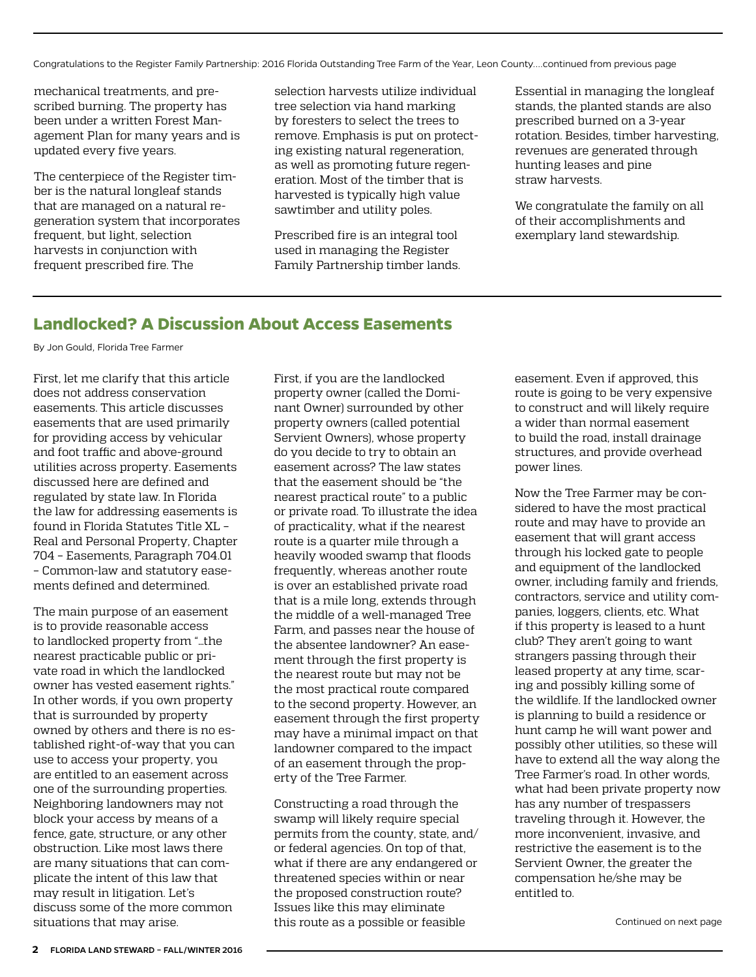<span id="page-1-0"></span>Congratulations to the Register Family Partnership: 2016 Florida Outstanding Tree Farm of the Year, Leon County....continued from previous page

mechanical treatments, and prescribed burning. The property has been under a written Forest Management Plan for many years and is updated every five years.

The centerpiece of the Register timber is the natural longleaf stands that are managed on a natural regeneration system that incorporates frequent, but light, selection harvests in conjunction with frequent prescribed fire. The

selection harvests utilize individual tree selection via hand marking by foresters to select the trees to remove. Emphasis is put on protecting existing natural regeneration, as well as promoting future regeneration. Most of the timber that is harvested is typically high value sawtimber and utility poles.

Prescribed fire is an integral tool used in managing the Register Family Partnership timber lands. Essential in managing the longleaf stands, the planted stands are also prescribed burned on a 3-year rotation. Besides, timber harvesting, revenues are generated through hunting leases and pine straw harvests.

We congratulate the family on all of their accomplishments and exemplary land stewardship.

## **Landlocked? A Discussion About Access Easements**

By Jon Gould, Florida Tree Farmer

First, let me clarify that this article does not address conservation easements. This article discusses easements that are used primarily for providing access by vehicular and foot traffic and above-ground utilities across property. Easements discussed here are defined and regulated by state law. In Florida the law for addressing easements is found in Florida Statutes Title XL – Real and Personal Property, Chapter 704 – Easements, Paragraph 704.01 – Common-law and statutory easements defined and determined.

The main purpose of an easement is to provide reasonable access to landlocked property from "…the nearest practicable public or private road in which the landlocked owner has vested easement rights." In other words, if you own property that is surrounded by property owned by others and there is no established right-of-way that you can use to access your property, you are entitled to an easement across one of the surrounding properties. Neighboring landowners may not block your access by means of a fence, gate, structure, or any other obstruction. Like most laws there are many situations that can complicate the intent of this law that may result in litigation. Let's discuss some of the more common situations that may arise.

First, if you are the landlocked property owner (called the Dominant Owner) surrounded by other property owners (called potential Servient Owners), whose property do you decide to try to obtain an easement across? The law states that the easement should be "the nearest practical route" to a public or private road. To illustrate the idea of practicality, what if the nearest route is a quarter mile through a heavily wooded swamp that floods frequently, whereas another route is over an established private road that is a mile long, extends through the middle of a well-managed Tree Farm, and passes near the house of the absentee landowner? An easement through the first property is the nearest route but may not be the most practical route compared to the second property. However, an easement through the first property may have a minimal impact on that landowner compared to the impact of an easement through the property of the Tree Farmer.

Constructing a road through the swamp will likely require special permits from the county, state, and/ or federal agencies. On top of that, what if there are any endangered or threatened species within or near the proposed construction route? Issues like this may eliminate this route as a possible or feasible

easement. Even if approved, this route is going to be very expensive to construct and will likely require a wider than normal easement to build the road, install drainage structures, and provide overhead power lines.

Now the Tree Farmer may be considered to have the most practical route and may have to provide an easement that will grant access through his locked gate to people and equipment of the landlocked owner, including family and friends, contractors, service and utility companies, loggers, clients, etc. What if this property is leased to a hunt club? They aren't going to want strangers passing through their leased property at any time, scaring and possibly killing some of the wildlife. If the landlocked owner is planning to build a residence or hunt camp he will want power and possibly other utilities, so these will have to extend all the way along the Tree Farmer's road. In other words, what had been private property now has any number of trespassers traveling through it. However, the more inconvenient, invasive, and restrictive the easement is to the Servient Owner, the greater the compensation he/she may be entitled to.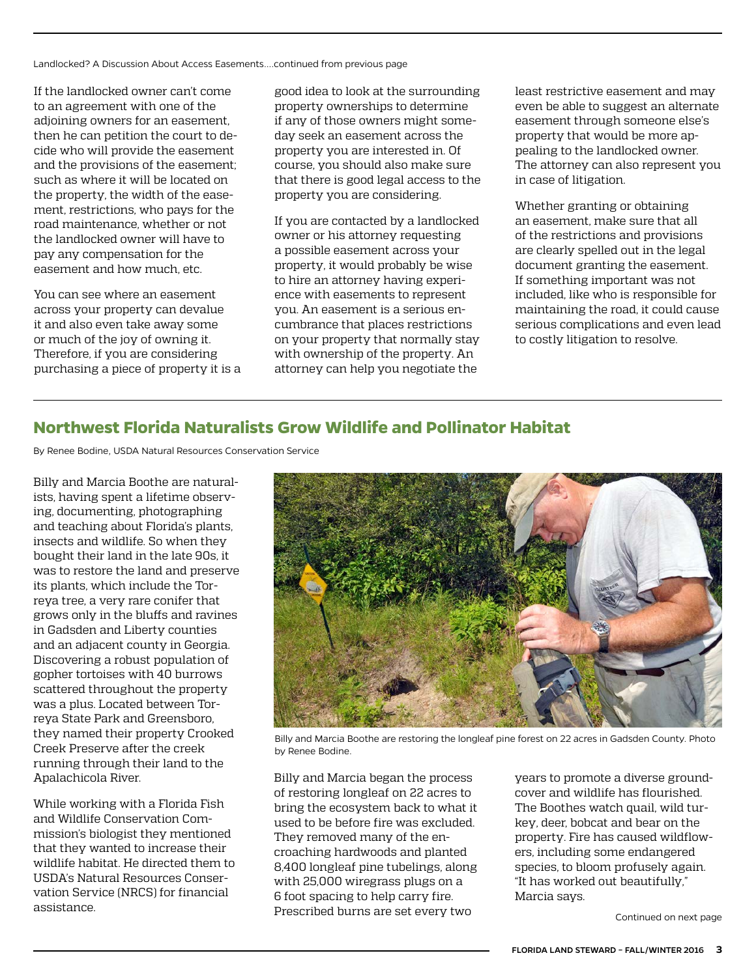<span id="page-2-0"></span>Landlocked? A Discussion About Access Easements....continued from previous page

If the landlocked owner can't come to an agreement with one of the adjoining owners for an easement, then he can petition the court to decide who will provide the easement and the provisions of the easement; such as where it will be located on the property, the width of the easement, restrictions, who pays for the road maintenance, whether or not the landlocked owner will have to pay any compensation for the easement and how much, etc.

You can see where an easement across your property can devalue it and also even take away some or much of the joy of owning it. Therefore, if you are considering purchasing a piece of property it is a good idea to look at the surrounding property ownerships to determine if any of those owners might someday seek an easement across the property you are interested in. Of course, you should also make sure that there is good legal access to the property you are considering.

If you are contacted by a landlocked owner or his attorney requesting a possible easement across your property, it would probably be wise to hire an attorney having experience with easements to represent you. An easement is a serious encumbrance that places restrictions on your property that normally stay with ownership of the property. An attorney can help you negotiate the

least restrictive easement and may even be able to suggest an alternate easement through someone else's property that would be more appealing to the landlocked owner. The attorney can also represent you in case of litigation.

Whether granting or obtaining an easement, make sure that all of the restrictions and provisions are clearly spelled out in the legal document granting the easement. If something important was not included, like who is responsible for maintaining the road, it could cause serious complications and even lead to costly litigation to resolve.

## **Northwest Florida Naturalists Grow Wildlife and Pollinator Habitat**

By Renee Bodine, USDA Natural Resources Conservation Service

Billy and Marcia Boothe are naturalists, having spent a lifetime observing, documenting, photographing and teaching about Florida's plants, insects and wildlife. So when they bought their land in the late 90s, it was to restore the land and preserve its plants, which include the Torreya tree, a very rare conifer that grows only in the bluffs and ravines in Gadsden and Liberty counties and an adjacent county in Georgia. Discovering a robust population of gopher tortoises with 40 burrows scattered throughout the property was a plus. Located between Torreya State Park and Greensboro, they named their property Crooked Creek Preserve after the creek running through their land to the Apalachicola River.

While working with a Florida Fish and Wildlife Conservation Commission's biologist they mentioned that they wanted to increase their wildlife habitat. He directed them to USDA's [Natural Resources Conser](http://www.nrcs.usda.gov/wps/portal/nrcs/site/fl/)[vation Service](http://www.nrcs.usda.gov/wps/portal/nrcs/site/fl/) (NRCS) for financial assistance.



Billy and Marcia Boothe are restoring the longleaf pine forest on 22 acres in Gadsden County. Photo by Renee Bodine.

Billy and Marcia began the process of restoring longleaf on 22 acres to bring the ecosystem back to what it used to be before fire was excluded. They removed many of the encroaching hardwoods and planted 8,400 longleaf pine tubelings, along with 25,000 wiregrass plugs on a 6 foot spacing to help carry fire. Prescribed burns are set every two

years to promote a diverse groundcover and wildlife has flourished. The Boothes watch quail, wild turkey, deer, bobcat and bear on the property. Fire has caused wildflowers, including some endangered species, to bloom profusely again. "It has worked out beautifully," Marcia says.

Continued on next page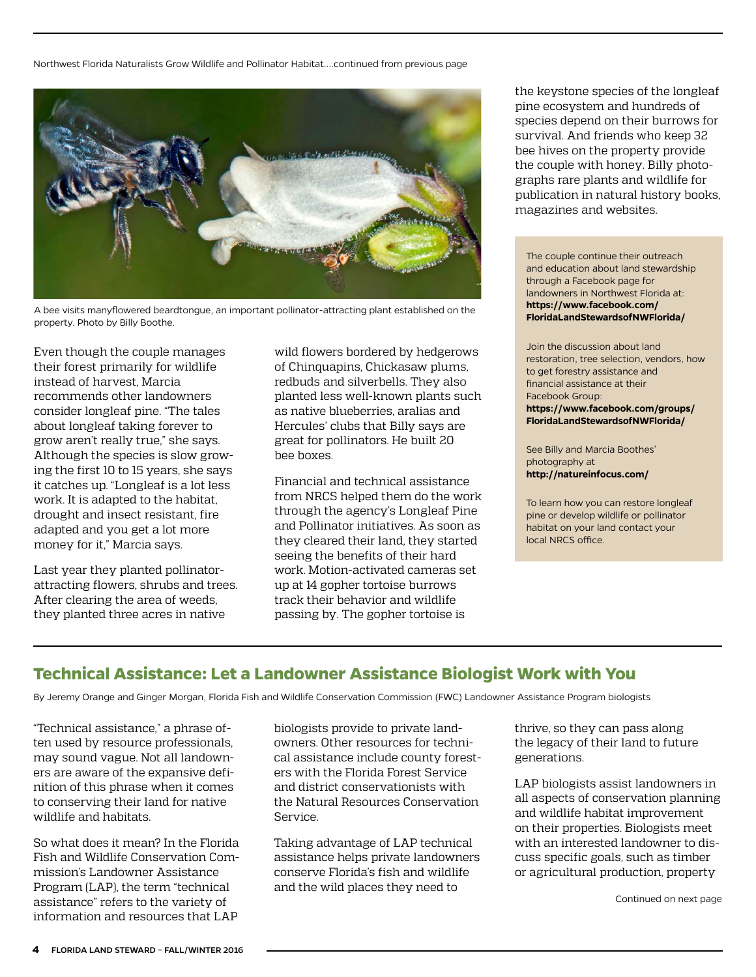<span id="page-3-0"></span>Northwest Florida Naturalists Grow Wildlife and Pollinator Habitat....continued from previous page



A bee visits manyflowered beardtongue, an important pollinator-attracting plant established on the property. Photo by Billy Boothe.

Even though the couple manages their forest primarily for wildlife instead of harvest, Marcia recommends other landowners consider longleaf pine. "The tales about longleaf taking forever to grow aren't really true," she says. Although the species is slow growing the first 10 to 15 years, she says it catches up. "Longleaf is a lot less work. It is adapted to the habitat, drought and insect resistant, fire adapted and you get a lot more money for it," Marcia says.

Last year they planted pollinatorattracting flowers, shrubs and trees. After clearing the area of weeds, they planted three acres in native

wild flowers bordered by hedgerows of Chinquapins, Chickasaw plums, redbuds and silverbells. They also planted less well-known plants such as native blueberries, aralias and Hercules' clubs that Billy says are great for pollinators. He built 20 bee boxes.

Financial and technical assistance from NRCS helped them do the work through the agency's [Longleaf Pine](http://www.nrcs.usda.gov/wps/portal/nrcs/detailfull/national/programs/initiatives/?cid=nrcsdev11_023913) and [Pollinator](http://www.nrcs.usda.gov/wps/portal/nrcs/main/fl/programs/financial/eqip/) initiatives. As soon as they cleared their land, they started seeing the benefits of their hard work. Motion-activated cameras set up at 14 gopher tortoise burrows track their behavior and wildlife passing by. The gopher tortoise is

the keystone species of the longleaf pine ecosystem and hundreds of species depend on their burrows for survival. And friends who keep 32 bee hives on the property provide the couple with honey. Billy photographs rare plants and wildlife for publication in natural history books, magazines and websites.

The couple continue their outreach and education about land stewardship through a Facebook page for landowners in Northwest Florida at: **[https://www.facebook.com/](https://www.facebook.com/FloridaLandStewardsofNWFlorida/) [FloridaLandStewardsofNWFlorida/](https://www.facebook.com/FloridaLandStewardsofNWFlorida/)**

Join the discussion about land restoration, tree selection, vendors, how to get forestry assistance and financial assistance at their Facebook Group: **[https://www.facebook.com/groups/](https://www.facebook.com/groups/FloridaLandStewardsofNWFlorida/) [FloridaLandStewardsofNWFlorida/](https://www.facebook.com/groups/FloridaLandStewardsofNWFlorida/)**

See Billy and Marcia Boothes' photography at **<http://natureinfocus.com/>**

To learn how you can restore longleaf pine or develop wildlife or pollinator habitat on your land contact your local [NRCS office](http://offices.sc.egov.usda.gov/locator/app).

# **Technical Assistance: Let a Landowner Assistance Biologist Work with You**

By Jeremy Orange and Ginger Morgan, Florida Fish and Wildlife Conservation Commission (FWC) Landowner Assistance Program biologists

"Technical assistance," a phrase often used by resource professionals, may sound vague. Not all landowners are aware of the expansive definition of this phrase when it comes to conserving their land for native wildlife and habitats.

So what does it mean? In the Florida Fish and Wildlife Conservation Commission's Landowner Assistance Program (LAP), the term "technical assistance" refers to the variety of information and resources that LAP

biologists provide to private landowners. Other resources for technical assistance include county foresters with the Florida Forest Service and district conservationists with the Natural Resources Conservation Service.

Taking advantage of LAP technical assistance helps private landowners conserve Florida's fish and wildlife and the wild places they need to

thrive, so they can pass along the legacy of their land to future generations.

LAP biologists assist landowners in all aspects of conservation planning and wildlife habitat improvement on their properties. Biologists meet with an interested landowner to discuss specific goals, such as timber or agricultural production, property

Continued on next page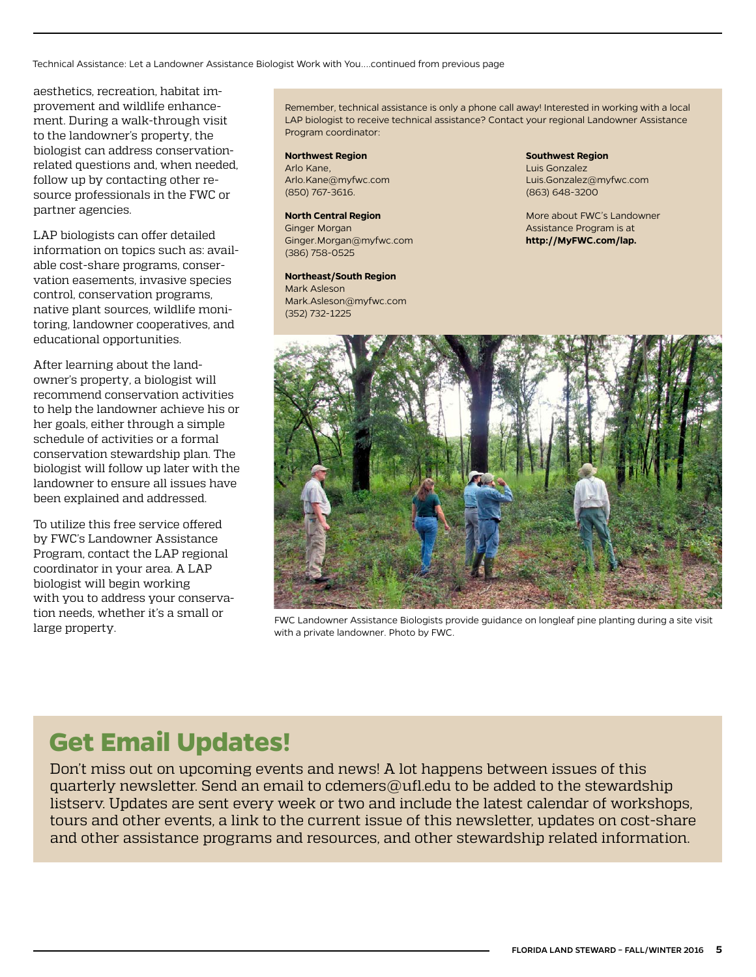Technical Assistance: Let a Landowner Assistance Biologist Work with You....continued from previous page

aesthetics, recreation, habitat improvement and wildlife enhancement. During a walk-through visit to the landowner's property, the biologist can address conservationrelated questions and, when needed, follow up by contacting other resource professionals in the FWC or partner agencies.

LAP biologists can offer detailed information on topics such as: available cost-share programs, conservation easements, invasive species control, conservation programs, native plant sources, wildlife monitoring, landowner cooperatives, and educational opportunities.

After learning about the landowner's property, a biologist will recommend conservation activities to help the landowner achieve his or her goals, either through a simple schedule of activities or a formal conservation stewardship plan. The biologist will follow up later with the landowner to ensure all issues have been explained and addressed.

To utilize this free service offered by FWC's Landowner Assistance Program, contact the LAP regional coordinator in your area. A LAP biologist will begin working with you to address your conservation needs, whether it's a small or

Remember, technical assistance is only a phone call away! Interested in working with a local LAP biologist to receive technical assistance? Contact your regional Landowner Assistance Program coordinator:

#### **Northwest Region**

Arlo Kane, [Arlo.Kane@myfwc.com](mailto:Arlo.Kane@myfwc.com) (850) 767-3616.

#### **North Central Region**

Ginger Morgan [Ginger.Morgan@myfwc.com](mailto:Ginger.Morgan@myfwc.com) (386) 758-0525

#### **Northeast/South Region**

Mark Asleson [Mark.Asleson@myfwc.com](mailto:Mark.Asleson@myfwc.com) (352) 732-1225

**Southwest Region** Luis Gonzalez [Luis.Gonzalez@myfwc.com](mailto:Luis.Gonzalez@myfwc.com) (863) 648-3200

More about FWC's Landowner Assistance Program is at **[http://MyFWC.com/lap.](http://MyFWC.com/lap)**



LOTT LEEDS, WHELTER IT STATISTIC FOR ENCLORATION FOR ENGLISHED FOR ENGLISHED IN THE PROPERTY.<br>Large property. with a private landowner. Photo by FWC.

# **Get Email Updates!**

Don't miss out on upcoming events and news! A lot happens between issues of this quarterly newsletter. Send an email to [cdemers@ufl.edu](mailto:cdemers%40ufl.edu?subject=) to be added to the stewardship listserv. Updates are sent every week or two and include the latest calendar of workshops, tours and other events, a link to the current issue of this newsletter, updates on cost-share and other assistance programs and resources, and other stewardship related information.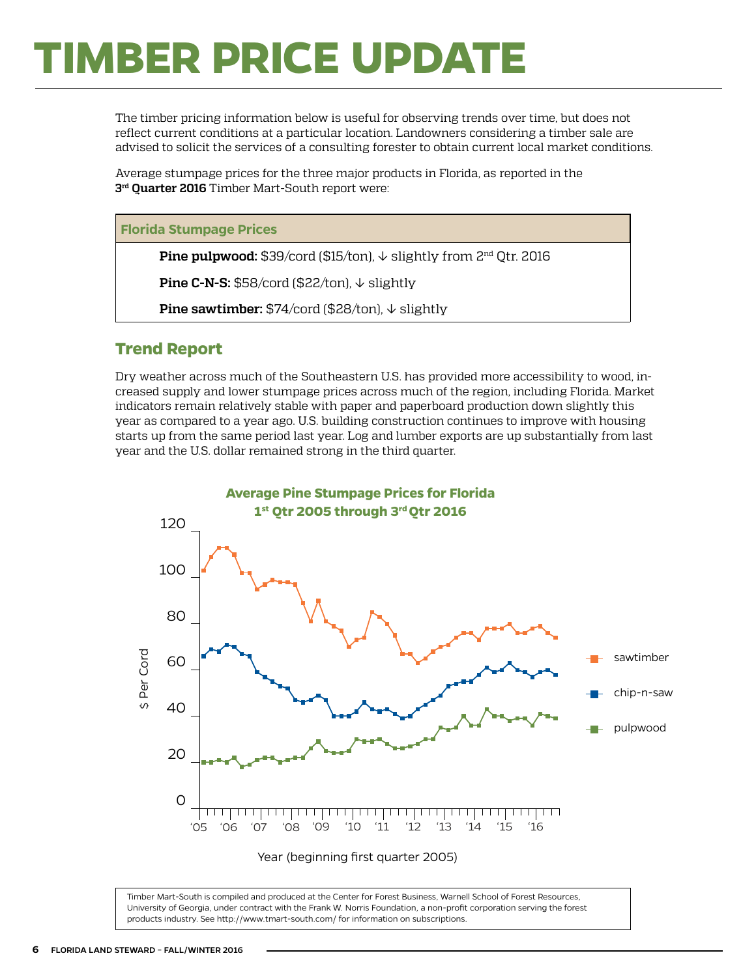# **TIMBER PRICE UPDATE**

The timber pricing information below is useful for observing trends over time, but does not reflect current conditions at a particular location. Landowners considering a timber sale are advised to solicit the services of a consulting forester to obtain current local market conditions.

Average stumpage prices for the three major products in Florida, as reported in the **3rd Quarter 2016** Timber Mart-South report were:

#### **Florida Stumpage Prices**

**Pine pulpwood:** \$39/cord (\$15/ton), ↓ slightly from 2<sup>nd</sup> Qtr. 2016

**Pine C-N-S:** \$58/cord (\$22/ton), ↓ slightly

**Pine sawtimber:** \$74/cord (\$28/ton), ↓ slightly

### **Trend Report**

Dry weather across much of the Southeastern U.S. has provided more accessibility to wood, increased supply and lower stumpage prices across much of the region, including Florida. Market indicators remain relatively stable with paper and paperboard production down slightly this year as compared to a year ago. U.S. building construction continues to improve with housing starts up from the same period last year. Log and lumber exports are up substantially from last year and the U.S. dollar remained strong in the third quarter.



Timber Mart-South is compiled and produced at the Center for Forest Business, Warnell School of Forest Resources, University of Georgia, under contract with the Frank W. Norris Foundation, a non-profit corporation serving the forest products industry. See <http://www.tmart-south.com/>for information on subscriptions.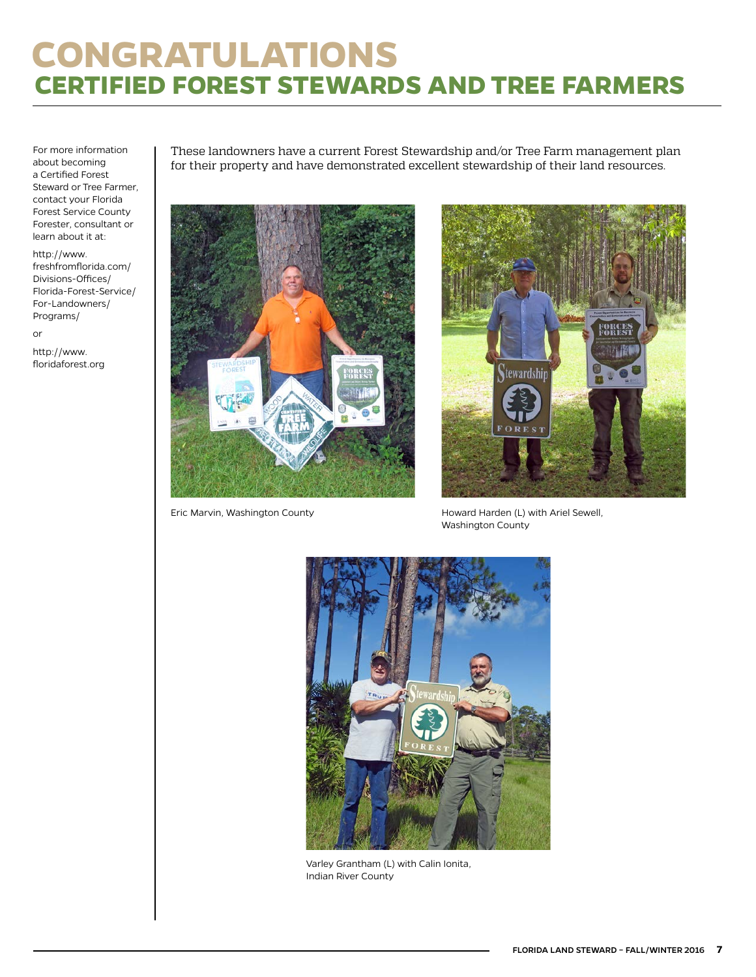# **CONGRATULATIONS CERTIFIED FOREST STEWARDS AND TREE FARMERS**

For more information about becoming a Certified Forest Steward or Tree Farmer, contact your Florida Forest Service County Forester, consultant or learn about it at:

[http://www.](http://www.freshfromflorida.com/Divisions-Offices/Florida-Forest-Service/For-Landowners/Programs/) [freshfromflorida.com/](http://www.freshfromflorida.com/Divisions-Offices/Florida-Forest-Service/For-Landowners/Programs/) [Divisions-Offices/](http://www.freshfromflorida.com/Divisions-Offices/Florida-Forest-Service/For-Landowners/Programs/) [Florida-Forest-Service/](http://www.freshfromflorida.com/Divisions-Offices/Florida-Forest-Service/For-Landowners/Programs/) [For-Landowners/](http://www.freshfromflorida.com/Divisions-Offices/Florida-Forest-Service/For-Landowners/Programs/) [Programs/](http://www.freshfromflorida.com/Divisions-Offices/Florida-Forest-Service/For-Landowners/Programs/)

or

http://[www.](http://www.floridaforest.org) [floridaforest.org](http://www.floridaforest.org) These landowners have a current Forest Stewardship and/or Tree Farm management plan for their property and have demonstrated excellent stewardship of their land resources.





Eric Marvin, Washington County **Howard Harden (L) with Ariel Sewell**, Washington County



Varley Grantham (L) with Calin Ionita, Indian River County